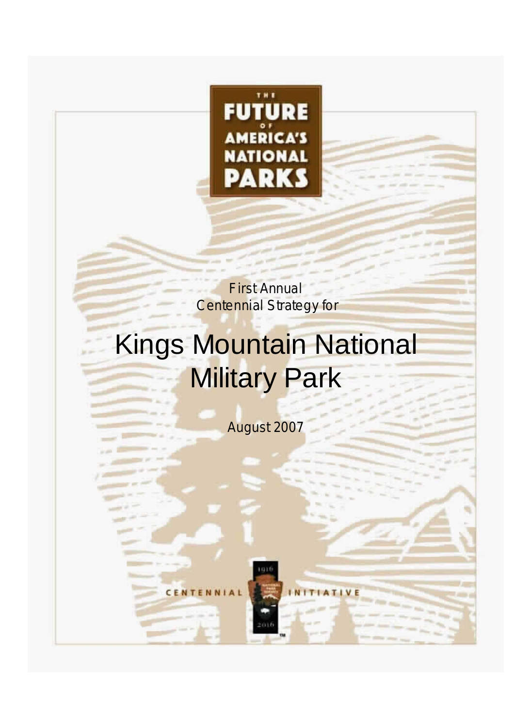

First Annual **Centennial Strategy for** 

# Kings Mountain National **Military Park**

August 2007

TIVE

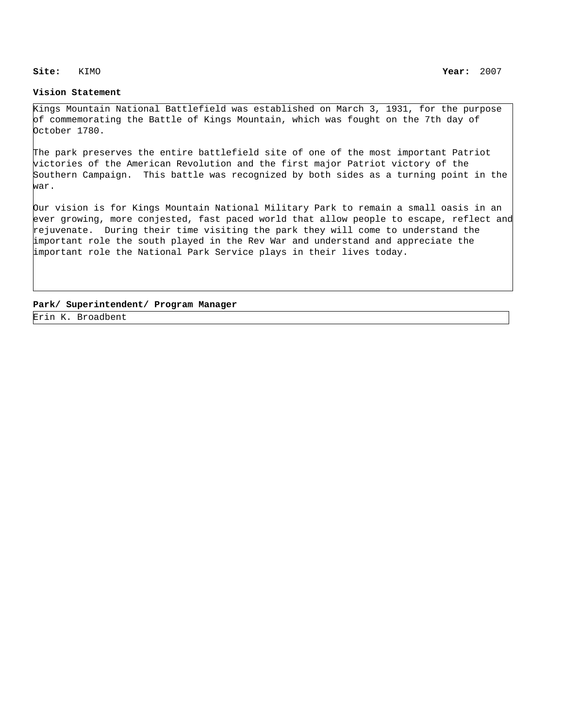## **Site:** KIMO

## **Vision Statement**

Kings Mountain National Battlefield was established on March 3, 1931, for the purpose of commemorating the Battle of Kings Mountain, which was fought on the 7th day of October 1780.

The park preserves the entire battlefield site of one of the most important Patriot victories of the American Revolution and the first major Patriot victory of the Southern Campaign. This battle was recognized by both sides as a turning point in the war.

Our vision is for Kings Mountain National Military Park to remain a small oasis in an ever growing, more conjested, fast paced world that allow people to escape, reflect and rejuvenate. During their time visiting the park they will come to understand the important role the south played in the Rev War and understand and appreciate the important role the National Park Service plays in their lives today.

## **Park/ Superintendent/ Program Manager**

Erin K. Broadbent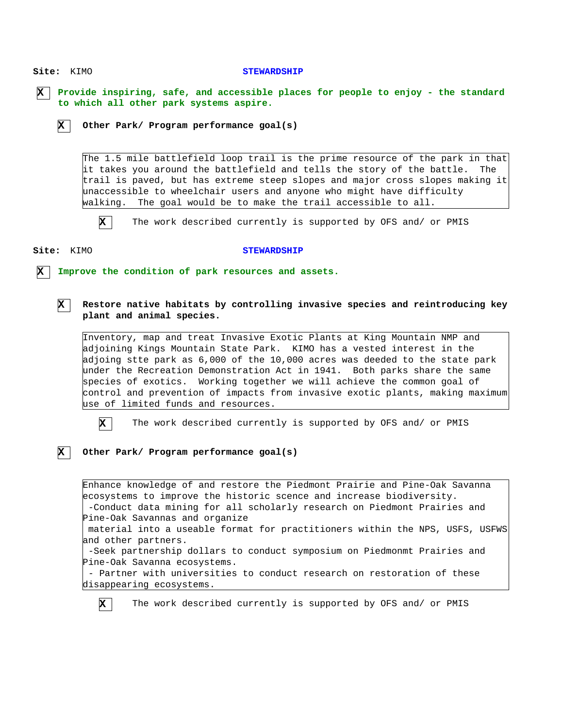# Site: KIMO Site: KIMO **X Provide inspiring, safe, and accessible places for people to enjoy - the standard X to which all other park systems aspire. Improve the condition of park resources and assets. STEWARDSHIP STEWARDSHIP X X X Other Park/ Program performance goal(s) Restore native habitats by controlling invasive species and reintroducing key plant and animal species. Other Park/ Program performance goal(s)** The 1.5 mile battlefield loop trail is the prime resource of the park in that it takes you around the battlefield and tells the story of the battle. The trail is paved, but has extreme steep slopes and major cross slopes making it unaccessible to wheelchair users and anyone who might have difficulty walking. The goal would be to make the trail accessible to all. Inventory, map and treat Invasive Exotic Plants at King Mountain NMP and adjoining Kings Mountain State Park. KIMO has a vested interest in the adjoing stte park as 6,000 of the 10,000 acres was deeded to the state park under the Recreation Demonstration Act in 1941. Both parks share the same species of exotics. Working together we will achieve the common goal of control and prevention of impacts from invasive exotic plants, making maximum use of limited funds and resources. Enhance knowledge of and restore the Piedmont Prairie and Pine-Oak Savanna ecosystems to improve the historic scence and increase biodiversity. -Conduct data mining for all scholarly research on Piedmont Prairies and Pine-Oak Savannas and organize material into a useable format for practitioners within the NPS, USFS, USFWS and other partners. -Seek partnership dollars to conduct symposium on Piedmonmt Prairies and Pine-Oak Savanna ecosystems. - Partner with universities to conduct research on restoration of these disappearing ecosystems. **X X X** The work described currently is supported by OFS and/ or PMIS The work described currently is supported by OFS and/ or PMIS The work described currently is supported by OFS and/ or PMIS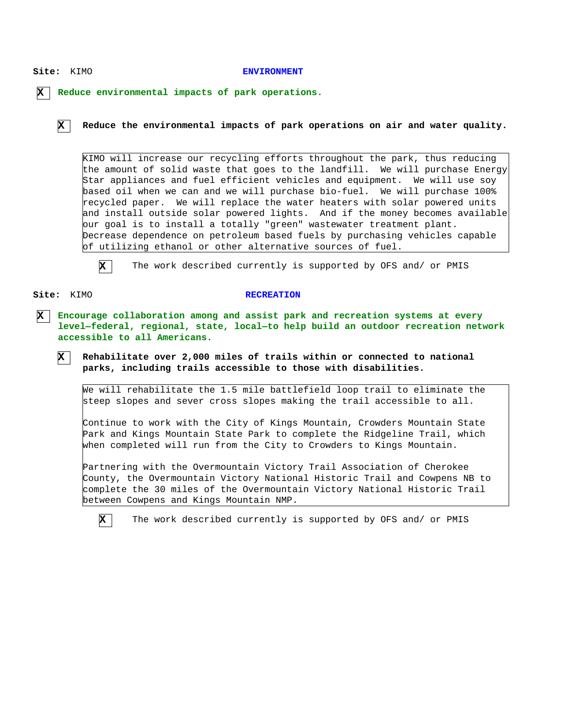### Site: KIMO

#### **ENVIRONMENT**

**X Reduce environmental impacts of park operations.**

**X**

**Reduce the environmental impacts of park operations on air and water quality.**

KIMO will increase our recycling efforts throughout the park, thus reducing the amount of solid waste that goes to the landfill. We will purchase Energy Star appliances and fuel efficient vehicles and equipment. We will use soy based oil when we can and we will purchase bio-fuel. We will purchase 100% recycled paper. We will replace the water heaters with solar powered units and install outside solar powered lights. And if the money becomes available our goal is to install a totally "green" wastewater treatment plant. Decrease dependence on petroleum based fuels by purchasing vehicles capable of utilizing ethanol or other alternative sources of fuel.



The work described currently is supported by OFS and/ or PMIS

Site: KIMO

**X**

## **RECREATION**

**X Encourage collaboration among and assist park and recreation systems at every level—federal, regional, state, local—to help build an outdoor recreation network accessible to all Americans.**

**Rehabilitate over 2,000 miles of trails within or connected to national parks, including trails accessible to those with disabilities.**

We will rehabilitate the 1.5 mile battlefield loop trail to eliminate the steep slopes and sever cross slopes making the trail accessible to all.

Continue to work with the City of Kings Mountain, Crowders Mountain State Park and Kings Mountain State Park to complete the Ridgeline Trail, which when completed will run from the City to Crowders to Kings Mountain.

Partnering with the Overmountain Victory Trail Association of Cherokee County, the Overmountain Victory National Historic Trail and Cowpens NB to complete the 30 miles of the Overmountain Victory National Historic Trail between Cowpens and Kings Mountain NMP.

**X**

The work described currently is supported by OFS and/ or PMIS